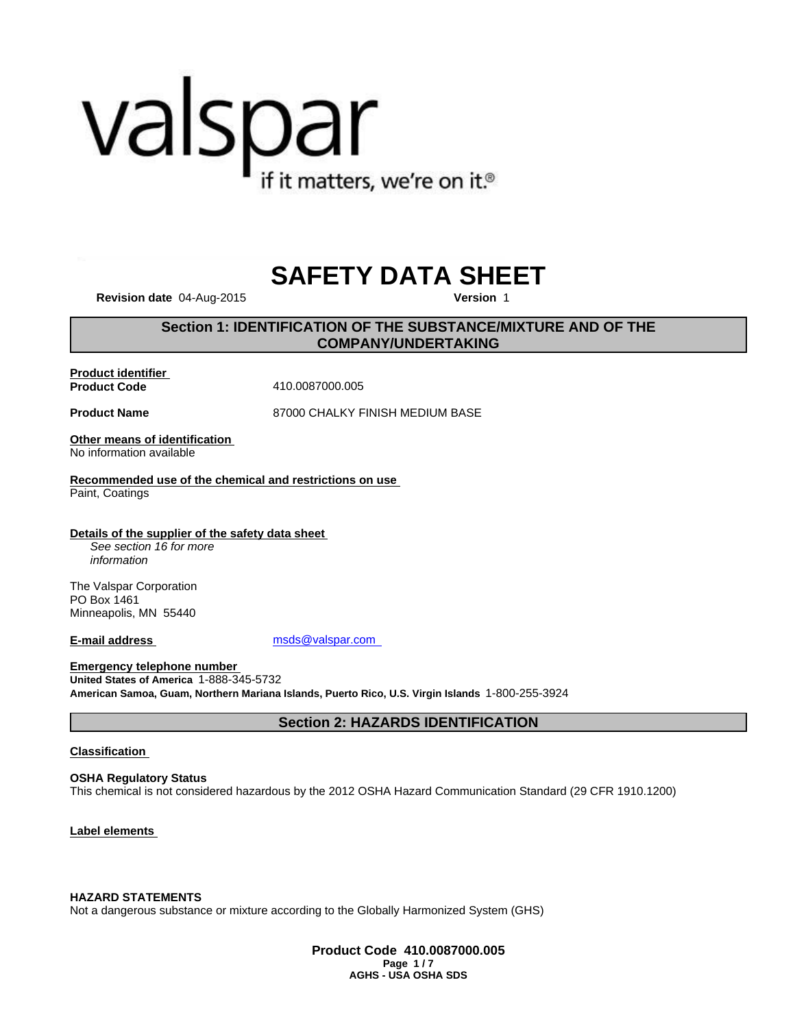# valspar if it matters, we're on it.<sup>®</sup>

## **SAFETY DATA SHEET**

**Revision date** 04-Aug-2015 **Version** 1

### **Section 1: IDENTIFICATION OF THE SUBSTANCE/MIXTURE AND OF THE COMPANY/UNDERTAKING**

**Product identifier** 

**Product Code** 410.0087000.005

**Product Name** 87000 CHALKY FINISH MEDIUM BASE

**Other means of identification**  No information available

**Recommended use of the chemical and restrictions on use**  Paint, Coatings

**Details of the supplier of the safety data sheet**  *See section 16 for more information*

The Valspar Corporation PO Box 1461 Minneapolis, MN 55440

**E-mail address** msds@valspar.com

**Emergency telephone number United States of America** 1-888-345-5732 **American Samoa, Guam, Northern Mariana Islands, Puerto Rico, U.S. Virgin Islands** 1-800-255-3924

**Section 2: HAZARDS IDENTIFICATION**

#### **Classification**

**OSHA Regulatory Status** This chemical is not considered hazardous by the 2012 OSHA Hazard Communication Standard (29 CFR 1910.1200)

**Label elements** 

**HAZARD STATEMENTS**

Not a dangerous substance or mixture according to the Globally Harmonized System (GHS)

**Product Code 410.0087000.005 Page 1 / 7 AGHS - USA OSHA SDS**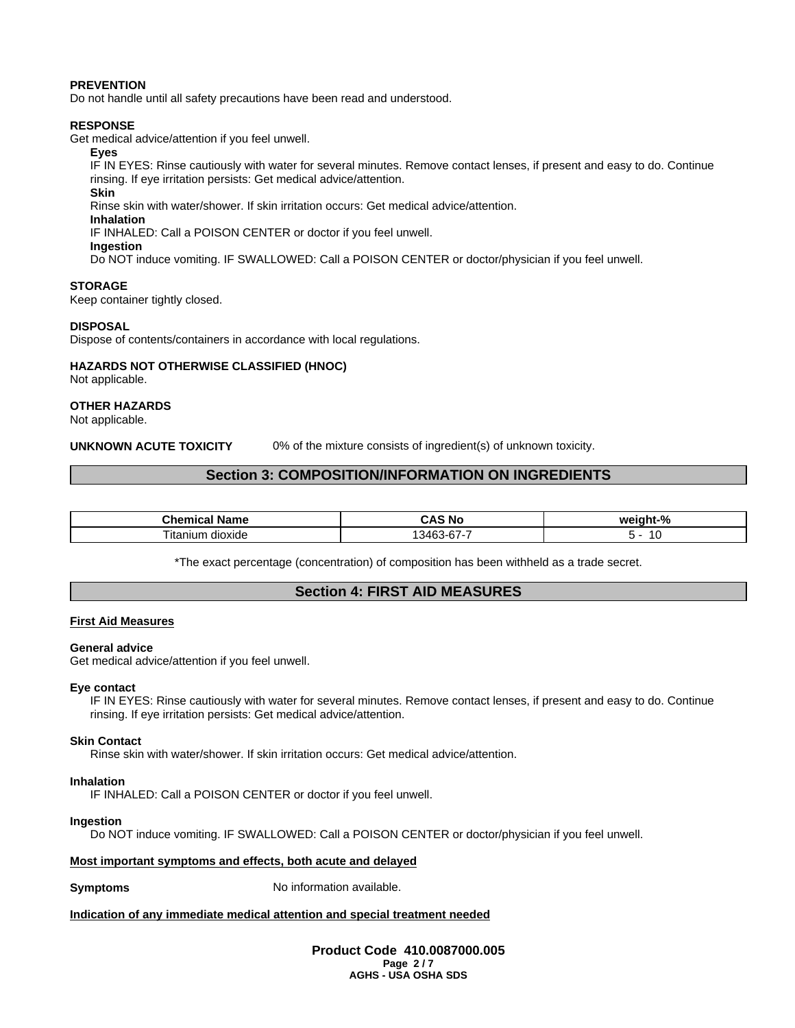#### **PREVENTION**

Do not handle until all safety precautions have been read and understood.

#### **RESPONSE**

Get medical advice/attention if you feel unwell.

#### **Eyes**

IF IN EYES: Rinse cautiously with water for several minutes. Remove contact lenses, if present and easy to do. Continue rinsing. If eye irritation persists: Get medical advice/attention.

#### **Skin**

Rinse skin with water/shower. If skin irritation occurs: Get medical advice/attention.

#### **Inhalation**

IF INHALED: Call a POISON CENTER or doctor if you feel unwell.

#### **Ingestion**

Do NOT induce vomiting. IF SWALLOWED: Call a POISON CENTER or doctor/physician if you feel unwell.

#### **STORAGE**

Keep container tightly closed.

#### **DISPOSAL**

Dispose of contents/containers in accordance with local regulations.

#### **HAZARDS NOT OTHERWISE CLASSIFIED (HNOC)**

Not applicable.

#### **OTHER HAZARDS**

Not applicable.

**UNKNOWN ACUTE TOXICITY** 0% of the mixture consists of ingredient(s) of unknown toxicity.

#### **Section 3: COMPOSITION/INFORMATION ON INGREDIENTS**

| <b>Phone</b><br>⊾ame     | -<br>м.<br>.  | $\mathbf{a}$ |
|--------------------------|---------------|--------------|
| dioxide<br>' ita<br>nıun | $\sim$<br>スクド | . .          |

\*The exact percentage (concentration) of composition has been withheld as a trade secret.

#### **Section 4: FIRST AID MEASURES**

#### **First Aid Measures**

#### **General advice**

Get medical advice/attention if you feel unwell.

#### **Eye contact**

IF IN EYES: Rinse cautiously with water for several minutes. Remove contact lenses, if present and easy to do. Continue rinsing. If eye irritation persists: Get medical advice/attention.

#### **Skin Contact**

Rinse skin with water/shower. If skin irritation occurs: Get medical advice/attention.

#### **Inhalation**

IF INHALED: Call a POISON CENTER or doctor if you feel unwell.

#### **Ingestion**

Do NOT induce vomiting. IF SWALLOWED: Call a POISON CENTER or doctor/physician if you feel unwell.

#### **Most important symptoms and effects, both acute and delayed**

**Symptoms** No information available.

#### **Indication of any immediate medical attention and special treatment needed**

**Product Code 410.0087000.005 Page 2 / 7 AGHS - USA OSHA SDS**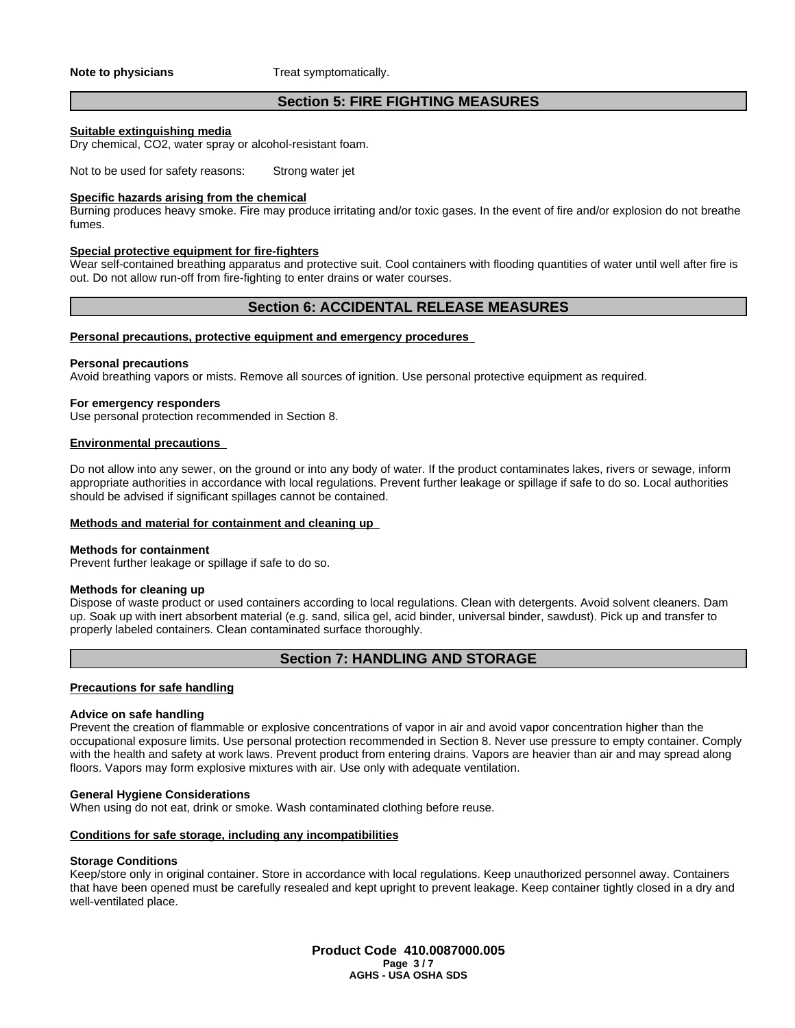**Note to physicians** Treat symptomatically.

#### **Section 5: FIRE FIGHTING MEASURES**

#### **Suitable extinguishing media**

Dry chemical, CO2, water spray or alcohol-resistant foam.

Not to be used for safety reasons: Strong water jet

#### **Specific hazards arising from the chemical**

Burning produces heavy smoke. Fire may produce irritating and/or toxic gases. In the event of fire and/or explosion do not breathe fumes.

#### **Special protective equipment for fire-fighters**

Wear self-contained breathing apparatus and protective suit. Cool containers with flooding quantities of water until well after fire is out. Do not allow run-off from fire-fighting to enter drains or water courses.

#### **Section 6: ACCIDENTAL RELEASE MEASURES**

#### **Personal precautions, protective equipment and emergency procedures**

#### **Personal precautions**

Avoid breathing vapors or mists. Remove all sources of ignition. Use personal protective equipment as required.

#### **For emergency responders**

Use personal protection recommended in Section 8.

#### **Environmental precautions**

Do not allow into any sewer, on the ground or into any body of water. If the product contaminates lakes, rivers or sewage, inform appropriate authorities in accordance with local regulations. Prevent further leakage or spillage if safe to do so. Local authorities should be advised if significant spillages cannot be contained.

#### **Methods and material for containment and cleaning up**

#### **Methods for containment**

Prevent further leakage or spillage if safe to do so.

#### **Methods for cleaning up**

Dispose of waste product or used containers according to local regulations. Clean with detergents. Avoid solvent cleaners. Dam up. Soak up with inert absorbent material (e.g. sand, silica gel, acid binder, universal binder, sawdust). Pick up and transfer to properly labeled containers. Clean contaminated surface thoroughly.

#### **Section 7: HANDLING AND STORAGE**

#### **Precautions for safe handling**

#### **Advice on safe handling**

Prevent the creation of flammable or explosive concentrations of vapor in air and avoid vapor concentration higher than the occupational exposure limits. Use personal protection recommended in Section 8. Never use pressure to empty container. Comply with the health and safety at work laws. Prevent product from entering drains. Vapors are heavier than air and may spread along floors. Vapors may form explosive mixtures with air. Use only with adequate ventilation.

#### **General Hygiene Considerations**

When using do not eat, drink or smoke. Wash contaminated clothing before reuse.

#### **Conditions for safe storage, including any incompatibilities**

#### **Storage Conditions**

Keep/store only in original container. Store in accordance with local regulations. Keep unauthorized personnel away. Containers that have been opened must be carefully resealed and kept upright to prevent leakage. Keep container tightly closed in a dry and well-ventilated place.

> **Product Code 410.0087000.005 Page 3 / 7 AGHS - USA OSHA SDS**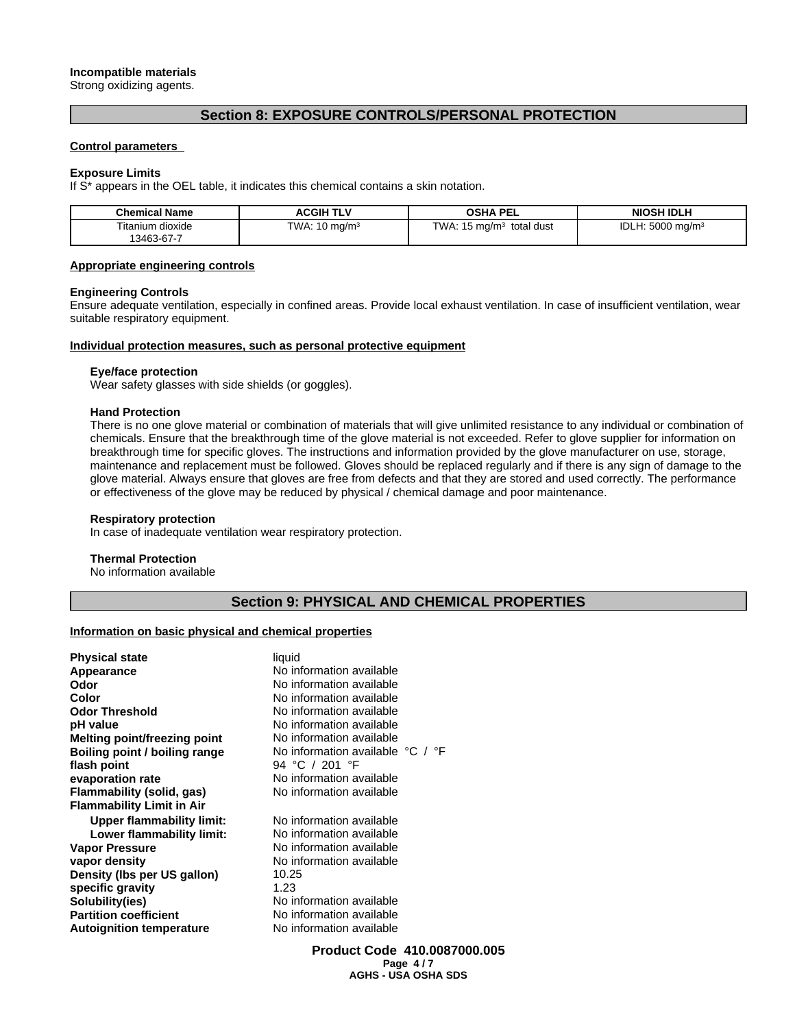#### **Incompatible materials**

Strong oxidizing agents.

### **Section 8: EXPOSURE CONTROLS/PERSONAL PROTECTION**

#### **Control parameters**

#### **Exposure Limits**

If S\* appears in the OEL table, it indicates this chemical contains a skin notation.

| <b>Chemical Name</b> | <b>ACGIH TLV</b>    | <b>OSHA PEL</b> | <b>NIOSH IDLH</b>       |
|----------------------|---------------------|-----------------|-------------------------|
| $- \cdot \cdot$      | <b>TWA</b>          | <b>TWA</b>      | ירי                     |
| Titanium dioxide     | $10 \text{ mg/m}^3$ | total dust      | .5000 mg/m <sup>3</sup> |
| 13463-67-7           | . .                 | , ma/mª         | ⊣∪LH                    |

#### **Appropriate engineering controls**

#### **Engineering Controls**

Ensure adequate ventilation, especially in confined areas. Provide local exhaust ventilation. In case of insufficient ventilation, wear suitable respiratory equipment.

#### **Individual protection measures, such as personal protective equipment**

#### **Eye/face protection**

Wear safety glasses with side shields (or goggles).

#### **Hand Protection**

There is no one glove material or combination of materials that will give unlimited resistance to any individual or combination of chemicals. Ensure that the breakthrough time of the glove material is not exceeded. Refer to glove supplier for information on breakthrough time for specific gloves. The instructions and information provided by the glove manufacturer on use, storage, maintenance and replacement must be followed. Gloves should be replaced regularly and if there is any sign of damage to the glove material. Always ensure that gloves are free from defects and that they are stored and used correctly. The performance or effectiveness of the glove may be reduced by physical / chemical damage and poor maintenance.

#### **Respiratory protection**

In case of inadequate ventilation wear respiratory protection.

#### **Thermal Protection**

No information available

#### **Section 9: PHYSICAL AND CHEMICAL PROPERTIES**

#### **Information on basic physical and chemical properties**

| <b>Physical state</b>            | liquid                           |
|----------------------------------|----------------------------------|
| Appearance                       | No information available         |
| Odor                             | No information available         |
| Color                            | No information available         |
| <b>Odor Threshold</b>            | No information available         |
| pH value                         | No information available         |
| Melting point/freezing point     | No information available         |
| Boiling point / boiling range    | No information available °C / °F |
| flash point                      | 94 °C / 201 °F                   |
| evaporation rate                 | No information available         |
| Flammability (solid, gas)        | No information available         |
| <b>Flammability Limit in Air</b> |                                  |
| <b>Upper flammability limit:</b> | No information available         |
| Lower flammability limit:        | No information available         |
| <b>Vapor Pressure</b>            | No information available         |
| vapor density                    | No information available         |
| Density (Ibs per US gallon)      | 10.25                            |
| specific gravity                 | 1.23                             |
| Solubility(ies)                  | No information available         |
| <b>Partition coefficient</b>     | No information available         |
| <b>Autoignition temperature</b>  | No information available         |
|                                  |                                  |

**Product Code 410.0087000.005 Page 4 / 7 AGHS - USA OSHA SDS**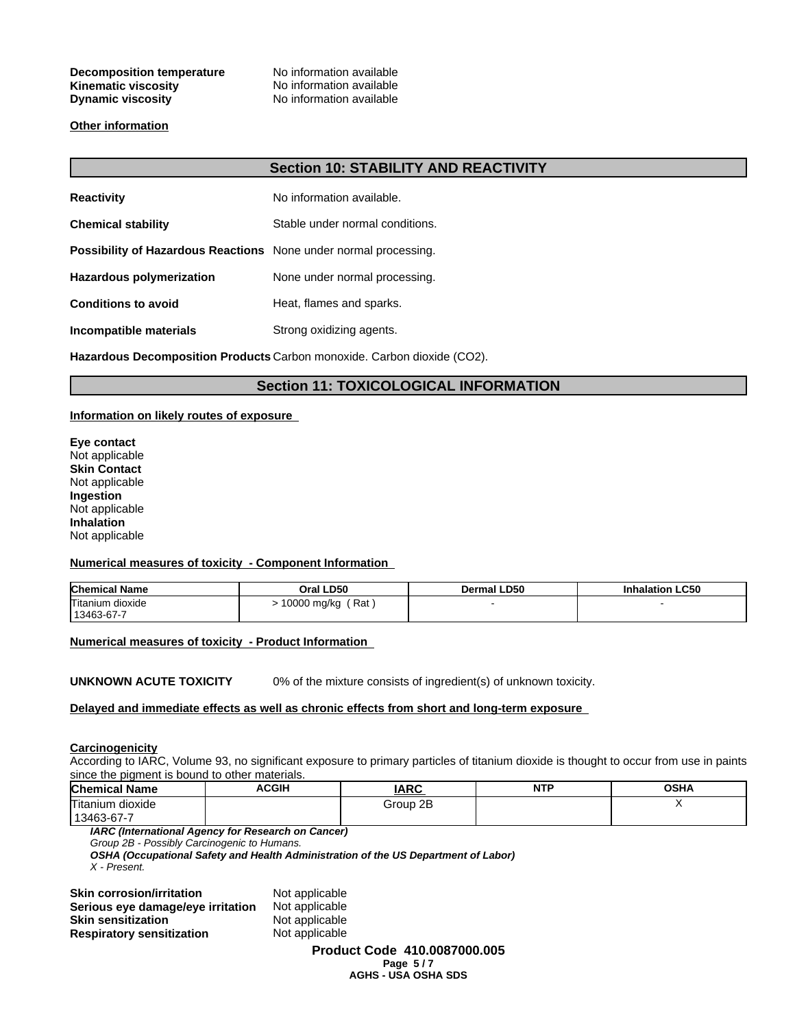#### **Decomposition temperature** No information available **Kinematic viscosity** No information available **Dynamic viscosity** No information available

#### **Other information**

#### **Section 10: STABILITY AND REACTIVITY**

| <b>Reactivity</b>                                                       | No information available.       |
|-------------------------------------------------------------------------|---------------------------------|
| <b>Chemical stability</b>                                               | Stable under normal conditions. |
| <b>Possibility of Hazardous Reactions</b> None under normal processing. |                                 |
| <b>Hazardous polymerization</b>                                         | None under normal processing.   |
| <b>Conditions to avoid</b>                                              | Heat, flames and sparks.        |
| Incompatible materials                                                  | Strong oxidizing agents.        |

**Hazardous Decomposition Products** Carbon monoxide. Carbon dioxide (CO2).

#### **Section 11: TOXICOLOGICAL INFORMATION**

#### **Information on likely routes of exposure**

**Eye contact** Not applicable **Skin Contact** Not applicable **Ingestion** Not applicable **Inhalation** Not applicable

#### **Numerical measures of toxicity - Component Information**

| <b>Chemical Name</b> | Oral LD50          | Dermal LD50 | <b>Inhalation LC50</b> |
|----------------------|--------------------|-------------|------------------------|
| Titanium dioxide     | Rat<br>10000 mg/kg |             |                        |
| $'13463-67-7$        |                    |             |                        |

**Numerical measures of toxicity - Product Information** 

**UNKNOWN ACUTE TOXICITY** 0% of the mixture consists of ingredient(s) of unknown toxicity.

#### **Delayed and immediate effects as well as chronic effects from short and long-term exposure**

#### **Carcinogenicity**

According to IARC, Volume 93, no significant exposure to primary particles of titanium dioxide is thought to occur from use in paints since the pigment is bound to other materials.

| <b>Chemical N</b><br>Name         | <b>ACGIH</b> | <b>IARC</b> | <b>NTI</b><br>. | <b>OSHA</b> |
|-----------------------------------|--------------|-------------|-----------------|-------------|
| Titanium<br>dioxide<br>13463-67-7 |              | Group 2B    |                 |             |

*IARC (International Agency for Research on Cancer)*

*Group 2B - Possibly Carcinogenic to Humans.*

*OSHA (Occupational Safety and Health Administration of the US Department of Labor) X - Present.*

| Not applicable |
|----------------|
| Not applicable |
| Not applicable |
| Not applicable |
|                |

Not applicable **Skin sensitization** Not applicable **Not applicable** 

**Product Code 410.0087000.005 Page 5 / 7 AGHS - USA OSHA SDS**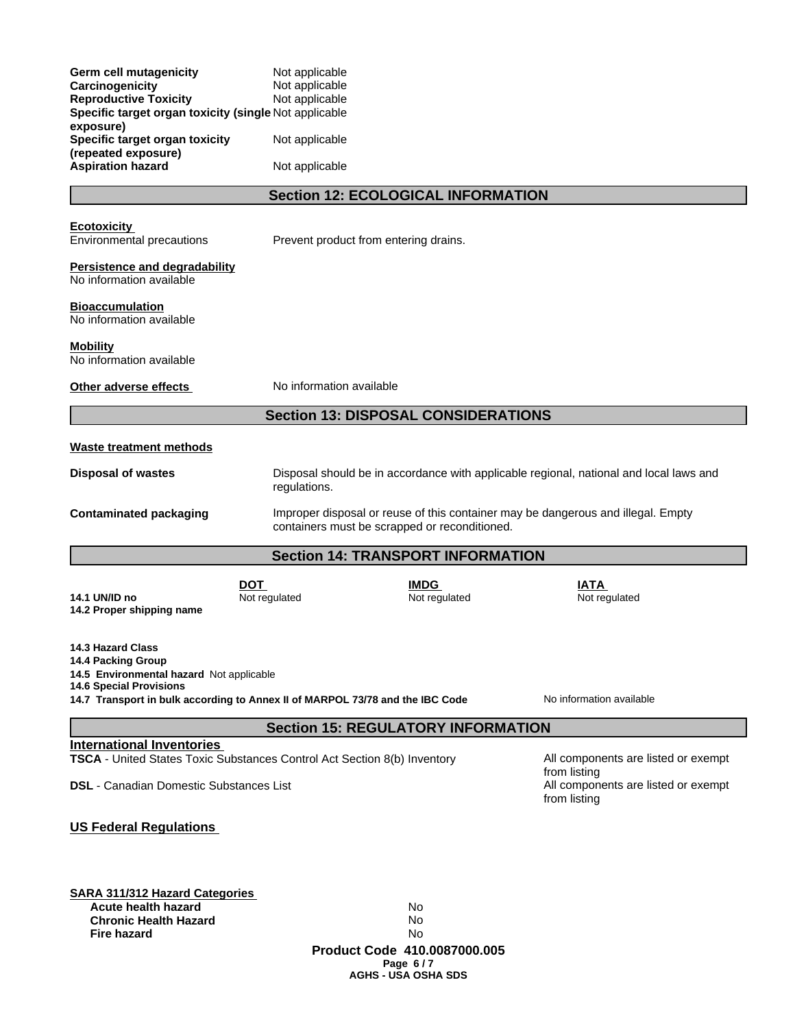| Germ cell mutagenicity<br>Carcinogenicity<br><b>Reproductive Toxicity</b><br>Specific target organ toxicity (single Not applicable                                                                            | Not applicable<br>Not applicable<br>Not applicable |                                                  |                                                                                        |
|---------------------------------------------------------------------------------------------------------------------------------------------------------------------------------------------------------------|----------------------------------------------------|--------------------------------------------------|----------------------------------------------------------------------------------------|
| exposure)<br>Specific target organ toxicity                                                                                                                                                                   | Not applicable                                     |                                                  |                                                                                        |
| (repeated exposure)<br><b>Aspiration hazard</b>                                                                                                                                                               | Not applicable                                     |                                                  |                                                                                        |
|                                                                                                                                                                                                               | <b>Section 12: ECOLOGICAL INFORMATION</b>          |                                                  |                                                                                        |
| <b>Ecotoxicity</b><br>Environmental precautions                                                                                                                                                               | Prevent product from entering drains.              |                                                  |                                                                                        |
| <b>Persistence and degradability</b><br>No information available                                                                                                                                              |                                                    |                                                  |                                                                                        |
| <b>Bioaccumulation</b><br>No information available                                                                                                                                                            |                                                    |                                                  |                                                                                        |
| <b>Mobility</b><br>No information available                                                                                                                                                                   |                                                    |                                                  |                                                                                        |
| Other adverse effects                                                                                                                                                                                         | No information available                           |                                                  |                                                                                        |
|                                                                                                                                                                                                               | <b>Section 13: DISPOSAL CONSIDERATIONS</b>         |                                                  |                                                                                        |
| <b>Waste treatment methods</b>                                                                                                                                                                                |                                                    |                                                  |                                                                                        |
| <b>Disposal of wastes</b>                                                                                                                                                                                     | regulations.                                       |                                                  | Disposal should be in accordance with applicable regional, national and local laws and |
| <b>Contaminated packaging</b>                                                                                                                                                                                 | containers must be scrapped or reconditioned.      |                                                  | Improper disposal or reuse of this container may be dangerous and illegal. Empty       |
|                                                                                                                                                                                                               | <b>Section 14: TRANSPORT INFORMATION</b>           |                                                  |                                                                                        |
| 14.1 UN/ID no<br>14.2 Proper shipping name                                                                                                                                                                    | <b>DOT</b><br>Not regulated                        | <b>IMDG</b><br>Not regulated                     | IATA<br>Not regulated                                                                  |
| <b>14.3 Hazard Class</b><br>14.4 Packing Group<br>14.5 Environmental hazard Not applicable<br><b>14.6 Special Provisions</b><br>14.7 Transport in bulk according to Annex II of MARPOL 73/78 and the IBC Code |                                                    |                                                  | No information available                                                               |
|                                                                                                                                                                                                               | <b>Section 15: REGULATORY INFORMATION</b>          |                                                  |                                                                                        |
| <b>International Inventories</b><br>TSCA - United States Toxic Substances Control Act Section 8(b) Inventory                                                                                                  |                                                    |                                                  | All components are listed or exempt                                                    |
| <b>DSL</b> - Canadian Domestic Substances List                                                                                                                                                                |                                                    |                                                  | from listing<br>All components are listed or exempt<br>from listing                    |
| <b>US Federal Regulations</b>                                                                                                                                                                                 |                                                    |                                                  |                                                                                        |
| <b>SARA 311/312 Hazard Categories</b><br>Acute health hazard<br><b>Chronic Health Hazard</b><br><b>Fire hazard</b>                                                                                            |                                                    | No.<br>No<br>No.<br>Product Code 410.0087000.005 |                                                                                        |

**Page 6 / 7 AGHS - USA OSHA SDS**